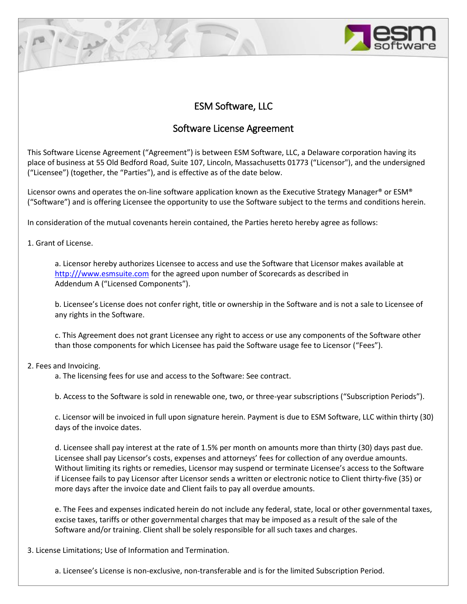# ESM Software, LLC

# Software License Agreement

This Software License Agreement ("Agreement") is between ESM Software, LLC, a Delaware corporation having its place of business at 55 Old Bedford Road, Suite 107, Lincoln, Massachusetts 01773 ("Licensor"), and the undersigned ("Licensee") (together, the "Parties"), and is effective as of the date below.

Licensor owns and operates the on-line software application known as the Executive Strategy Manager® or ESM® ("Software") and is offering Licensee the opportunity to use the Software subject to the terms and conditions herein.

In consideration of the mutual covenants herein contained, the Parties hereto hereby agree as follows:

1. Grant of License.

a. Licensor hereby authorizes Licensee to access and use the Software that Licensor makes available at [http:///www.esmsuite.com](http://www.esmsuite.com) for the agreed upon number of Scorecards as described in Addendum A ("Licensed Components").

b. Licensee's License does not confer right, title or ownership in the Software and is not a sale to Licensee of any rights in the Software.

c. This Agreement does not grant Licensee any right to access or use any components of the Software other than those components for which Licensee has paid the Software usage fee to Licensor ("Fees").

## 2. Fees and Invoicing.

a. The licensing fees for use and access to the Software: See contract.

b. Access to the Software is sold in renewable one, two, or three-year subscriptions ("Subscription Periods").

c. Licensor will be invoiced in full upon signature herein. Payment is due to ESM Software, LLC within thirty (30) days of the invoice dates.

d. Licensee shall pay interest at the rate of 1.5% per month on amounts more than thirty (30) days past due. Licensee shall pay Licensor's costs, expenses and attorneys' fees for collection of any overdue amounts. Without limiting its rights or remedies, Licensor may suspend or terminate Licensee's access to the Software if Licensee fails to pay Licensor after Licensor sends a written or electronic notice to Client thirty-five (35) or more days after the invoice date and Client fails to pay all overdue amounts.

e. The Fees and expenses indicated herein do not include any federal, state, local or other governmental taxes, excise taxes, tariffs or other governmental charges that may be imposed as a result of the sale of the Software and/or training. Client shall be solely responsible for all such taxes and charges.

3. License Limitations; Use of Information and Termination.

a. Licensee's License is non-exclusive, non-transferable and is for the limited Subscription Period.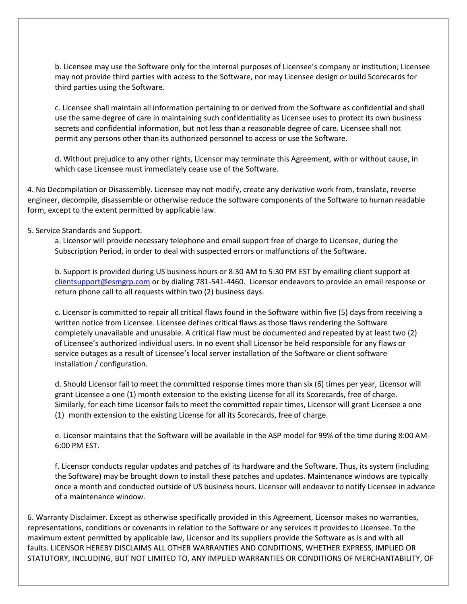b. Licensee may use the Software only for the internal purposes of Licensee's company or institution; Licensee may not provide third parties with access to the Software, nor may Licensee design or build Scorecards for third parties using the Software.

c. Licensee shall maintain all information pertaining to or derived from the Software as confidential and shall use the same degree of care in maintaining such confidentiality as Licensee uses to protect its own business secrets and confidential information, but not less than a reasonable degree of care. Licensee shall not permit any persons other than its authorized personnel to access or use the Software.

d. Without prejudice to any other rights, Licensor may terminate this Agreement, with or without cause, in which case Licensee must immediately cease use of the Software.

4. No Decompilation or Disassembly. Licensee may not modify, create any derivative work from, translate, reverse engineer, decompile, disassemble or otherwise reduce the software components of the Software to human readable form, except to the extent permitted by applicable law.

### 5. Service Standards and Support.

a. Licensor will provide necessary telephone and email support free of charge to Licensee, during the Subscription Period, in order to deal with suspected errors or malfunctions of the Software.

b. Support is provided during US business hours or 8:30 AM to 5:30 PM EST by emailing client support at [clientsupport@esmgrp.com](mailto:clientsupport@esmgrp.com) or by dialing 781-541-4460. Licensor endeavors to provide an email response or return phone call to all requests within two (2) business days.

c. Licensor is committed to repair all critical flaws found in the Software within five (5) days from receiving a written notice from Licensee. Licensee defines critical flaws as those flaws rendering the Software completely unavailable and unusable. A critical flaw must be documented and repeated by at least two (2) of Licensee's authorized individual users. In no event shall Licensor be held responsible for any flaws or service outages as a result of Licensee's local server installation of the Software or client software installation / configuration.

d. Should Licensor fail to meet the committed response times more than six (6) times per year, Licensor will grant Licensee a one (1) month extension to the existing License for all its Scorecards, free of charge. Similarly, for each time Licensor fails to meet the committed repair times, Licensor will grant Licensee a one (1) month extension to the existing License for all its Scorecards, free of charge.

e. Licensor maintains that the Software will be available in the ASP model for 99% of the time during 8:00 AM-6:00 PM EST.

f. Licensor conducts regular updates and patches of its hardware and the Software. Thus, its system (including the Software) may be brought down to install these patches and updates. Maintenance windows are typically once a month and conducted outside of US business hours. Licensor will endeavor to notify Licensee in advance of a maintenance window.

6. Warranty Disclaimer. Except as otherwise specifically provided in this Agreement, Licensor makes no warranties, representations, conditions or covenants in relation to the Software or any services it provides to Licensee. To the maximum extent permitted by applicable law, Licensor and its suppliers provide the Software as is and with all faults. LICENSOR HEREBY DISCLAIMS ALL OTHER WARRANTIES AND CONDITIONS, WHETHER EXPRESS, IMPLIED OR STATUTORY, INCLUDING, BUT NOT LIMITED TO, ANY IMPLIED WARRANTIES OR CONDITIONS OF MERCHANTABILITY, OF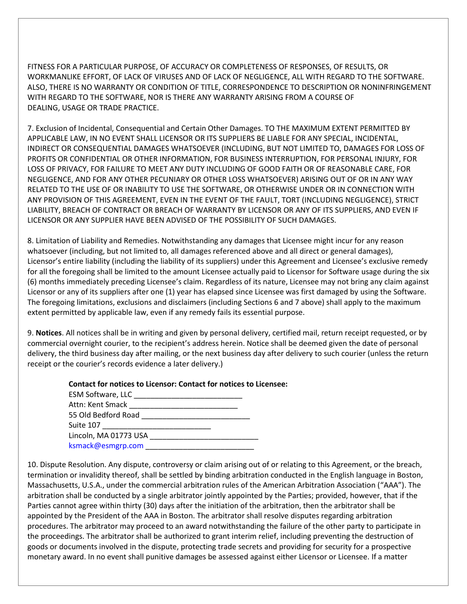FITNESS FOR A PARTICULAR PURPOSE, OF ACCURACY OR COMPLETENESS OF RESPONSES, OF RESULTS, OR WORKMANLIKE EFFORT, OF LACK OF VIRUSES AND OF LACK OF NEGLIGENCE, ALL WITH REGARD TO THE SOFTWARE. ALSO, THERE IS NO WARRANTY OR CONDITION OF TITLE, CORRESPONDENCE TO DESCRIPTION OR NONINFRINGEMENT WITH REGARD TO THE SOFTWARE, NOR IS THERE ANY WARRANTY ARISING FROM A COURSE OF DEALING, USAGE OR TRADE PRACTICE.

7. Exclusion of Incidental, Consequential and Certain Other Damages. TO THE MAXIMUM EXTENT PERMITTED BY APPLICABLE LAW, IN NO EVENT SHALL LICENSOR OR ITS SUPPLIERS BE LIABLE FOR ANY SPECIAL, INCIDENTAL, INDIRECT OR CONSEQUENTIAL DAMAGES WHATSOEVER (INCLUDING, BUT NOT LIMITED TO, DAMAGES FOR LOSS OF PROFITS OR CONFIDENTIAL OR OTHER INFORMATION, FOR BUSINESS INTERRUPTION, FOR PERSONAL INJURY, FOR LOSS OF PRIVACY, FOR FAILURE TO MEET ANY DUTY INCLUDING OF GOOD FAITH OR OF REASONABLE CARE, FOR NEGLIGENCE, AND FOR ANY OTHER PECUNIARY OR OTHER LOSS WHATSOEVER) ARISING OUT OF OR IN ANY WAY RELATED TO THE USE OF OR INABILITY TO USE THE SOFTWARE, OR OTHERWISE UNDER OR IN CONNECTION WITH ANY PROVISION OF THIS AGREEMENT, EVEN IN THE EVENT OF THE FAULT, TORT (INCLUDING NEGLIGENCE), STRICT LIABILITY, BREACH OF CONTRACT OR BREACH OF WARRANTY BY LICENSOR OR ANY OF ITS SUPPLIERS, AND EVEN IF LICENSOR OR ANY SUPPLIER HAVE BEEN ADVISED OF THE POSSIBILITY OF SUCH DAMAGES.

8. Limitation of Liability and Remedies. Notwithstanding any damages that Licensee might incur for any reason whatsoever (including, but not limited to, all damages referenced above and all direct or general damages), Licensor's entire liability (including the liability of its suppliers) under this Agreement and Licensee's exclusive remedy for all the foregoing shall be limited to the amount Licensee actually paid to Licensor for Software usage during the six (6) months immediately preceding Licensee's claim. Regardless of its nature, Licensee may not bring any claim against Licensor or any of its suppliers after one (1) year has elapsed since Licensee was first damaged by using the Software. The foregoing limitations, exclusions and disclaimers (including Sections 6 and 7 above) shall apply to the maximum extent permitted by applicable law, even if any remedy fails its essential purpose.

9. **Notices**. All notices shall be in writing and given by personal delivery, certified mail, return receipt requested, or by commercial overnight courier, to the recipient's address herein. Notice shall be deemed given the date of personal delivery, the third business day after mailing, or the next business day after delivery to such courier (unless the return receipt or the courier's records evidence a later delivery.)

| <b>Contact for notices to Licensor: Contact for notices to Licensee:</b> |
|--------------------------------------------------------------------------|
|--------------------------------------------------------------------------|

| <b>ESM Software, LLC</b> |  |
|--------------------------|--|
| Attn: Kent Smack         |  |
| 55 Old Bedford Road      |  |
| Suite 107                |  |
| Lincoln, MA 01773 USA    |  |
| ksmack@esmgrp.com        |  |

10. Dispute Resolution. Any dispute, controversy or claim arising out of or relating to this Agreement, or the breach, termination or invalidity thereof, shall be settled by binding arbitration conducted in the English language in Boston, Massachusetts, U.S.A., under the commercial arbitration rules of the American Arbitration Association ("AAA"). The arbitration shall be conducted by a single arbitrator jointly appointed by the Parties; provided, however, that if the Parties cannot agree within thirty (30) days after the initiation of the arbitration, then the arbitrator shall be appointed by the President of the AAA in Boston. The arbitrator shall resolve disputes regarding arbitration procedures. The arbitrator may proceed to an award notwithstanding the failure of the other party to participate in the proceedings. The arbitrator shall be authorized to grant interim relief, including preventing the destruction of goods or documents involved in the dispute, protecting trade secrets and providing for security for a prospective monetary award. In no event shall punitive damages be assessed against either Licensor or Licensee. If a matter